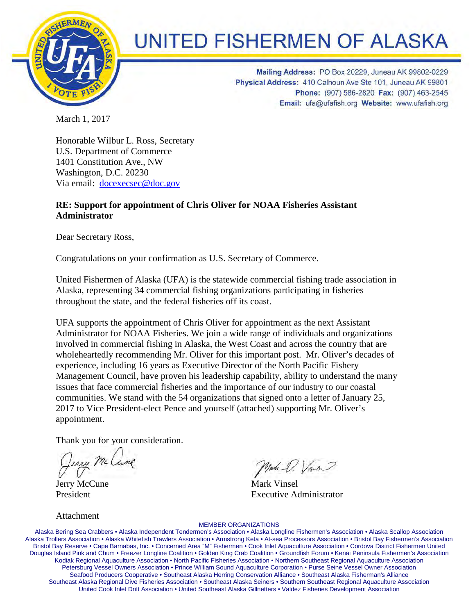

# **UNITED FISHERMEN OF ALASKA**

Mailing Address: PO Box 20229, Juneau AK 99802-0229 Physical Address: 410 Calhoun Ave Ste 101, Juneau AK 99801 Phone: (907) 586-2820 Fax: (907) 463-2545 Email: ufa@ufafish.org Website: www.ufafish.org

March 1, 2017

Honorable Wilbur L. Ross, Secretary U.S. Department of Commerce 1401 Constitution Ave., NW Washington, D.C. 20230 Via email: docexecsec@doc.gov

## **RE: Support for appointment of Chris Oliver for NOAA Fisheries Assistant Administrator**

Dear Secretary Ross,

Congratulations on your confirmation as U.S. Secretary of Commerce.

United Fishermen of Alaska (UFA) is the statewide commercial fishing trade association in Alaska, representing 34 commercial fishing organizations participating in fisheries throughout the state, and the federal fisheries off its coast.

UFA supports the appointment of Chris Oliver for appointment as the next Assistant Administrator for NOAA Fisheries. We join a wide range of individuals and organizations involved in commercial fishing in Alaska, the West Coast and across the country that are wholeheartedly recommending Mr. Oliver for this important post. Mr. Oliver's decades of experience, including 16 years as Executive Director of the North Pacific Fishery Management Council, have proven his leadership capability, ability to understand the many issues that face commercial fisheries and the importance of our industry to our coastal communities. We stand with the 54 organizations that signed onto a letter of January 25, 2017 to Vice President-elect Pence and yourself (attached) supporting Mr. Oliver's appointment.

Thank you for your consideration.

Ling McC Jerry McCune Mark Vinsel

President **Executive Administrator** 

Attachment

#### MEMBER ORGANIZATIONS

Alaska Bering Sea Crabbers • Alaska Independent Tendermen's Association • Alaska Longline Fishermen's Association • Alaska Scallop Association Alaska Trollers Association • Alaska Whitefish Trawlers Association • Armstrong Keta • At-sea Processors Association • Bristol Bay Fishermen's Association Bristol Bay Reserve • Cape Barnabas, Inc. • Concerned Area "M" Fishermen • Cook Inlet Aquaculture Association • Cordova District Fishermen United Douglas Island Pink and Chum • Freezer Longline Coalition • Golden King Crab Coalition • Groundfish Forum • Kenai Peninsula Fishermen's Association Kodiak Regional Aquaculture Association • North Pacific Fisheries Association • Northern Southeast Regional Aquaculture Association Petersburg Vessel Owners Association • Prince William Sound Aquaculture Corporation • Purse Seine Vessel Owner Association Seafood Producers Cooperative • Southeast Alaska Herring Conservation Alliance • Southeast Alaska Fisherman's Alliance Southeast Alaska Regional Dive Fisheries Association • Southeast Alaska Seiners • Southern Southeast Regional Aquaculture Association United Cook Inlet Drift Association • United Southeast Alaska Gillnetters • Valdez Fisheries Development Association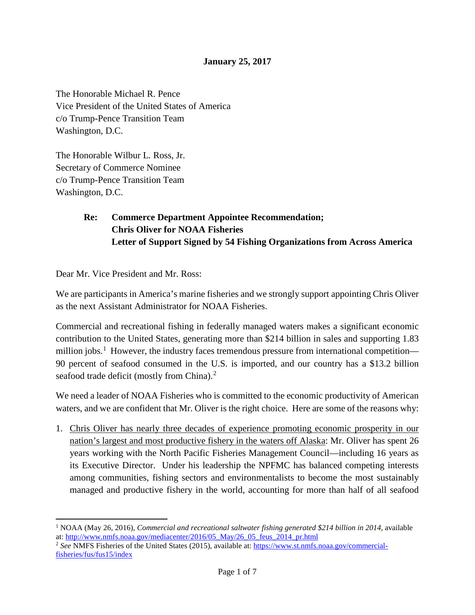### **January 25, 2017**

The Honorable Michael R. Pence Vice President of the United States of America c/o Trump-Pence Transition Team Washington, D.C.

The Honorable Wilbur L. Ross, Jr. Secretary of Commerce Nominee c/o Trump-Pence Transition Team Washington, D.C.

## **Re: Commerce Department Appointee Recommendation; Chris Oliver for NOAA Fisheries Letter of Support Signed by 54 Fishing Organizations from Across America**

Dear Mr. Vice President and Mr. Ross:

l

We are participants in America's marine fisheries and we strongly support appointing Chris Oliver as the next Assistant Administrator for NOAA Fisheries.

Commercial and recreational fishing in federally managed waters makes a significant economic contribution to the United States, generating more than \$214 billion in sales and supporting 1.83 million jobs.<sup>[1](#page-1-0)</sup> However, the industry faces tremendous pressure from international competition— 90 percent of seafood consumed in the U.S. is imported, and our country has a \$13.2 billion seafood trade deficit (mostly from China).<sup>[2](#page-1-1)</sup>

We need a leader of NOAA Fisheries who is committed to the economic productivity of American waters, and we are confident that Mr. Oliver is the right choice. Here are some of the reasons why:

1. Chris Oliver has nearly three decades of experience promoting economic prosperity in our nation's largest and most productive fishery in the waters off Alaska: Mr. Oliver has spent 26 years working with the North Pacific Fisheries Management Council—including 16 years as its Executive Director. Under his leadership the NPFMC has balanced competing interests among communities, fishing sectors and environmentalists to become the most sustainably managed and productive fishery in the world, accounting for more than half of all seafood

<span id="page-1-0"></span><sup>&</sup>lt;sup>1</sup> NOAA (May 26, 2016), *Commercial and recreational saltwater fishing generated \$214 billion in 2014*, available at: [http://www.nmfs.noaa.gov/mediacenter/2016/05\\_May/26\\_05\\_feus\\_2014\\_pr.html](http://www.nmfs.noaa.gov/mediacenter/2016/05_May/26_05_feus_2014_pr.html)

<span id="page-1-1"></span><sup>2</sup> *See* NMFS Fisheries of the United States (2015), available at: [https://www.st.nmfs.noaa.gov/commercial](https://www.st.nmfs.noaa.gov/commercial-fisheries/fus/fus15/index)[fisheries/fus/fus15/index](https://www.st.nmfs.noaa.gov/commercial-fisheries/fus/fus15/index)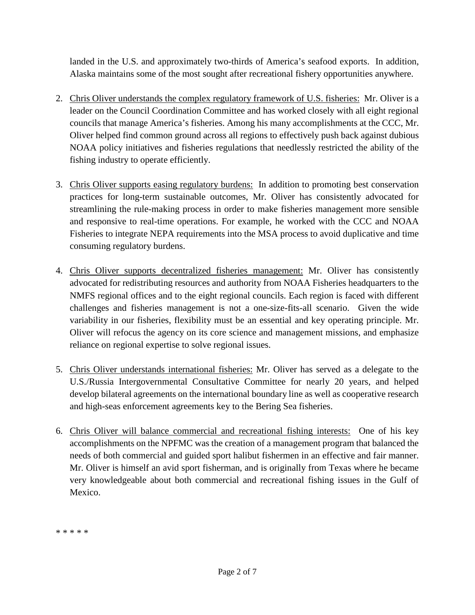landed in the U.S. and approximately two-thirds of America's seafood exports. In addition, Alaska maintains some of the most sought after recreational fishery opportunities anywhere.

- 2. Chris Oliver understands the complex regulatory framework of U.S. fisheries: Mr. Oliver is a leader on the Council Coordination Committee and has worked closely with all eight regional councils that manage America's fisheries. Among his many accomplishments at the CCC, Mr. Oliver helped find common ground across all regions to effectively push back against dubious NOAA policy initiatives and fisheries regulations that needlessly restricted the ability of the fishing industry to operate efficiently.
- 3. Chris Oliver supports easing regulatory burdens: In addition to promoting best conservation practices for long-term sustainable outcomes, Mr. Oliver has consistently advocated for streamlining the rule-making process in order to make fisheries management more sensible and responsive to real-time operations. For example, he worked with the CCC and NOAA Fisheries to integrate NEPA requirements into the MSA process to avoid duplicative and time consuming regulatory burdens.
- 4. Chris Oliver supports decentralized fisheries management: Mr. Oliver has consistently advocated for redistributing resources and authority from NOAA Fisheries headquarters to the NMFS regional offices and to the eight regional councils. Each region is faced with different challenges and fisheries management is not a one-size-fits-all scenario. Given the wide variability in our fisheries, flexibility must be an essential and key operating principle. Mr. Oliver will refocus the agency on its core science and management missions, and emphasize reliance on regional expertise to solve regional issues.
- 5. Chris Oliver understands international fisheries: Mr. Oliver has served as a delegate to the U.S./Russia Intergovernmental Consultative Committee for nearly 20 years, and helped develop bilateral agreements on the international boundary line as well as cooperative research and high-seas enforcement agreements key to the Bering Sea fisheries.
- 6. Chris Oliver will balance commercial and recreational fishing interests: One of his key accomplishments on the NPFMC was the creation of a management program that balanced the needs of both commercial and guided sport halibut fishermen in an effective and fair manner. Mr. Oliver is himself an avid sport fisherman, and is originally from Texas where he became very knowledgeable about both commercial and recreational fishing issues in the Gulf of Mexico.

\* \* \* \* \*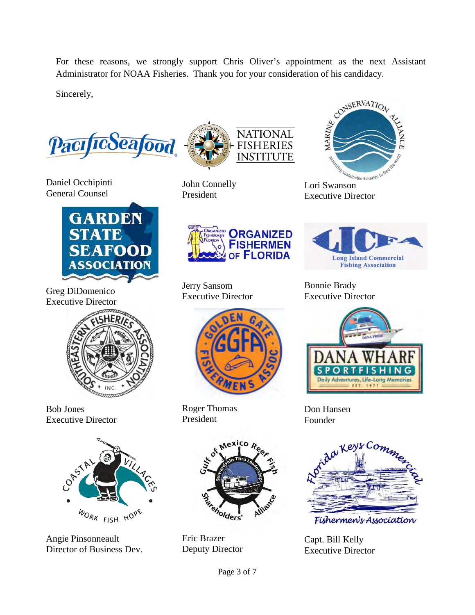For these reasons, we strongly support Chris Oliver's appointment as the next Assistant Administrator for NOAA Fisheries. Thank you for your consideration of his candidacy.

Sincerely,

PacificSeafood

Daniel Occhipinti General Counsel



Greg DiDomenico Executive Director



Bob Jones Executive Director



Angie Pinsonneault Director of Business Dev.



John Connelly President



Jerry Sansom Executive Director



Roger Thomas President



Eric Brazer Deputy Director



Lori Swanson Executive Director



Bonnie Brady Executive Director



Don Hansen Founder



Capt. Bill Kelly Executive Director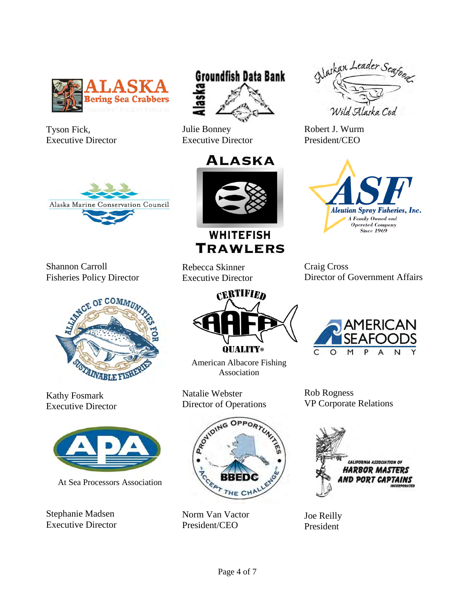

Tyson Fick, Executive Director



Shannon Carroll Fisheries Policy Director



Kathy Fosmark Executive Director



At Sea Processors Association

Stephanie Madsen Executive Director









**WHITEFISH TRAWLERS** 

Rebecca Skinner Executive Director



American Albacore Fishing Association

Natalie Webster Director of Operations



Norm Van Vactor President/CEO



Robert J. Wurm President/CEO



Craig Cross Director of Government Affairs



Rob Rogness VP Corporate Relations



Joe Reilly President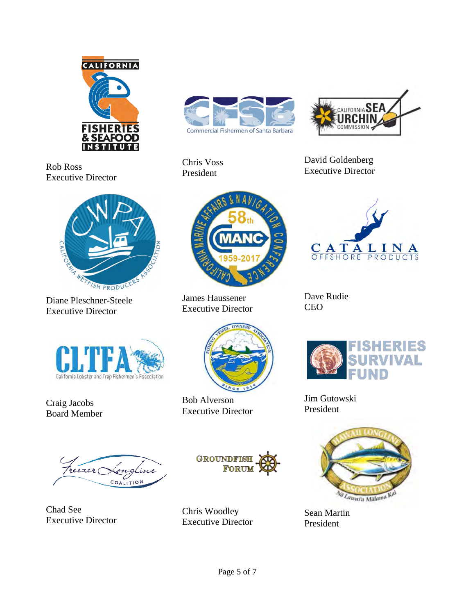

Rob Ross Executive Director



Diane Pleschner-Steele Executive Director



Chris Voss President



David Goldenberg Executive Director



James Haussener Executive Director



Dave Rudie CEO



Craig Jacobs Board Member



Chad See Executive Director



Bob Alverson Executive Director



Chris Woodley Executive Director



Jim Gutowski President



Sean Martin President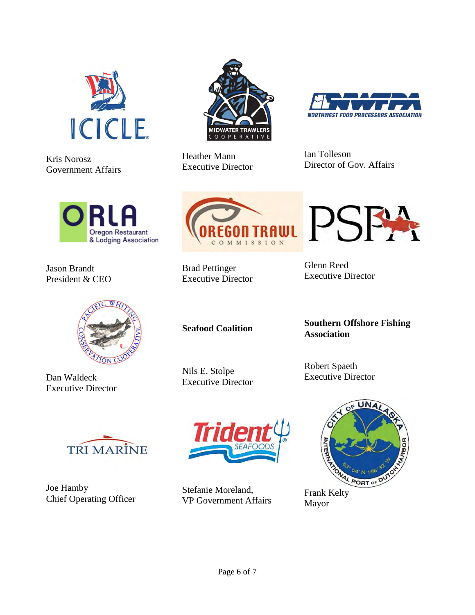

Kris Norosz Government Affairs



Jason Brandt President & CEO



Dan Waldeck Executive Director



Joe Hamby Chief Operating Officer



Heather Mann Executive Director



PSF

Ian Tolleson Director of Gov. Affairs



Brad Pettinger Executive Director Glenn Reed Executive Director

**Seafood Coalition** 

Nils E. Stolpe Executive Director

Stefanie Moreland,

**Southern Offshore Fishing Association** 

Robert Spaeth Executive Director



Mayor